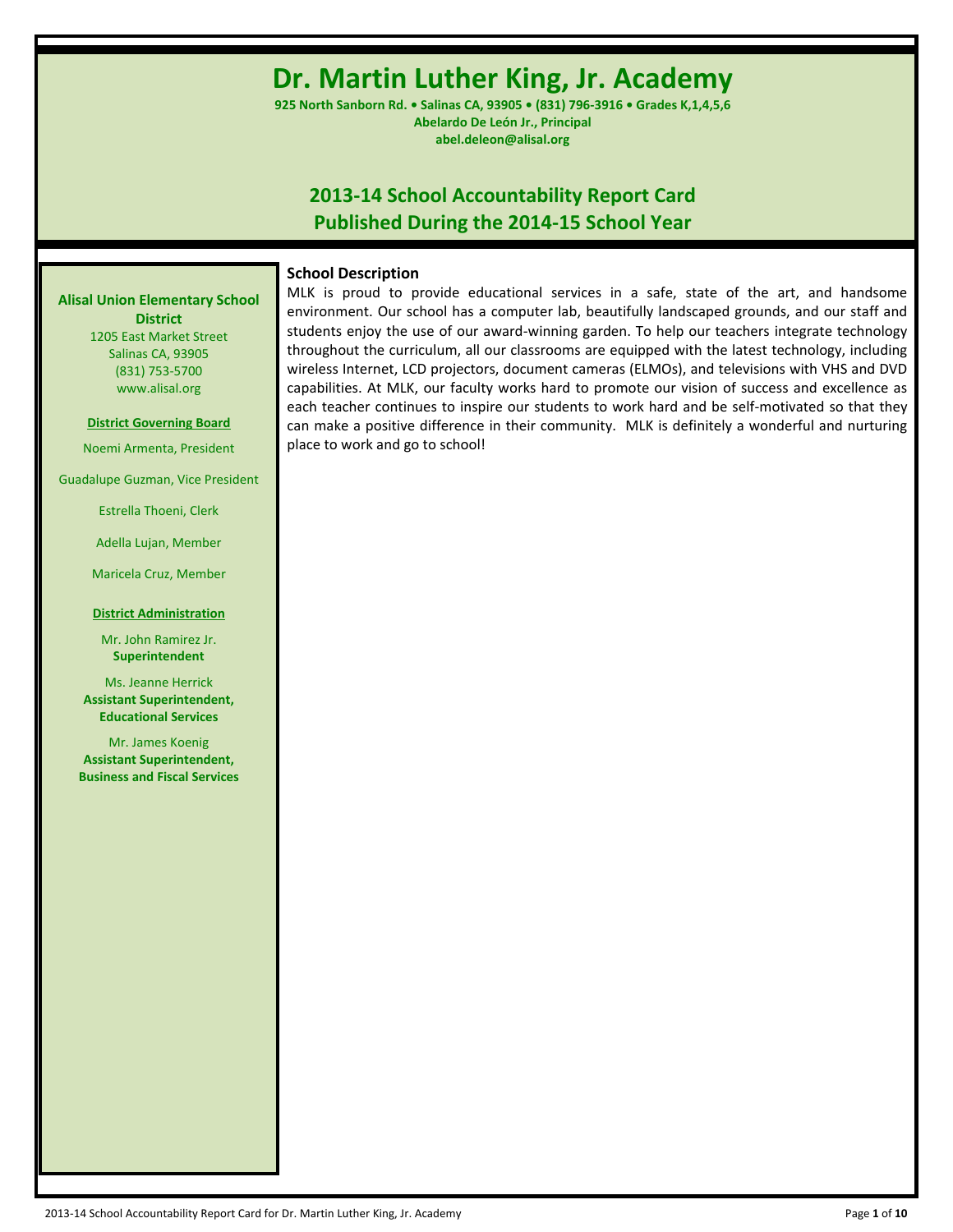# **Dr. Martin Luther King, Jr. Academy**

**925 North Sanborn Rd. • Salinas CA, 93905 • (831) 796-3916 • Grades K,1,4,5,6 Abelardo De León Jr., Principal abel.deleon@alisal.org**

# **2013-14 School Accountability Report Card Published During the 2014-15 School Year**

# **School Description**

MLK is proud to provide educational services in a safe, state of the art, and handsome environment. Our school has a computer lab, beautifully landscaped grounds, and our staff and students enjoy the use of our award-winning garden. To help our teachers integrate technology throughout the curriculum, all our classrooms are equipped with the latest technology, including wireless Internet, LCD projectors, document cameras (ELMOs), and televisions with VHS and DVD capabilities. At MLK, our faculty works hard to promote our vision of success and excellence as each teacher continues to inspire our students to work hard and be self-motivated so that they can make a positive difference in their community. MLK is definitely a wonderful and nurturing place to work and go to school!

**Alisal Union Elementary School District**

1205 East Market Street Salinas CA, 93905 (831) 753-5700 www.alisal.org

**District Governing Board**

Noemi Armenta, President

Guadalupe Guzman, Vice President

Estrella Thoeni, Clerk

Adella Lujan, Member

Maricela Cruz, Member

#### **District Administration**

Mr. John Ramirez Jr. **Superintendent**

Ms. Jeanne Herrick **Assistant Superintendent, Educational Services**

Mr. James Koenig **Assistant Superintendent, Business and Fiscal Services**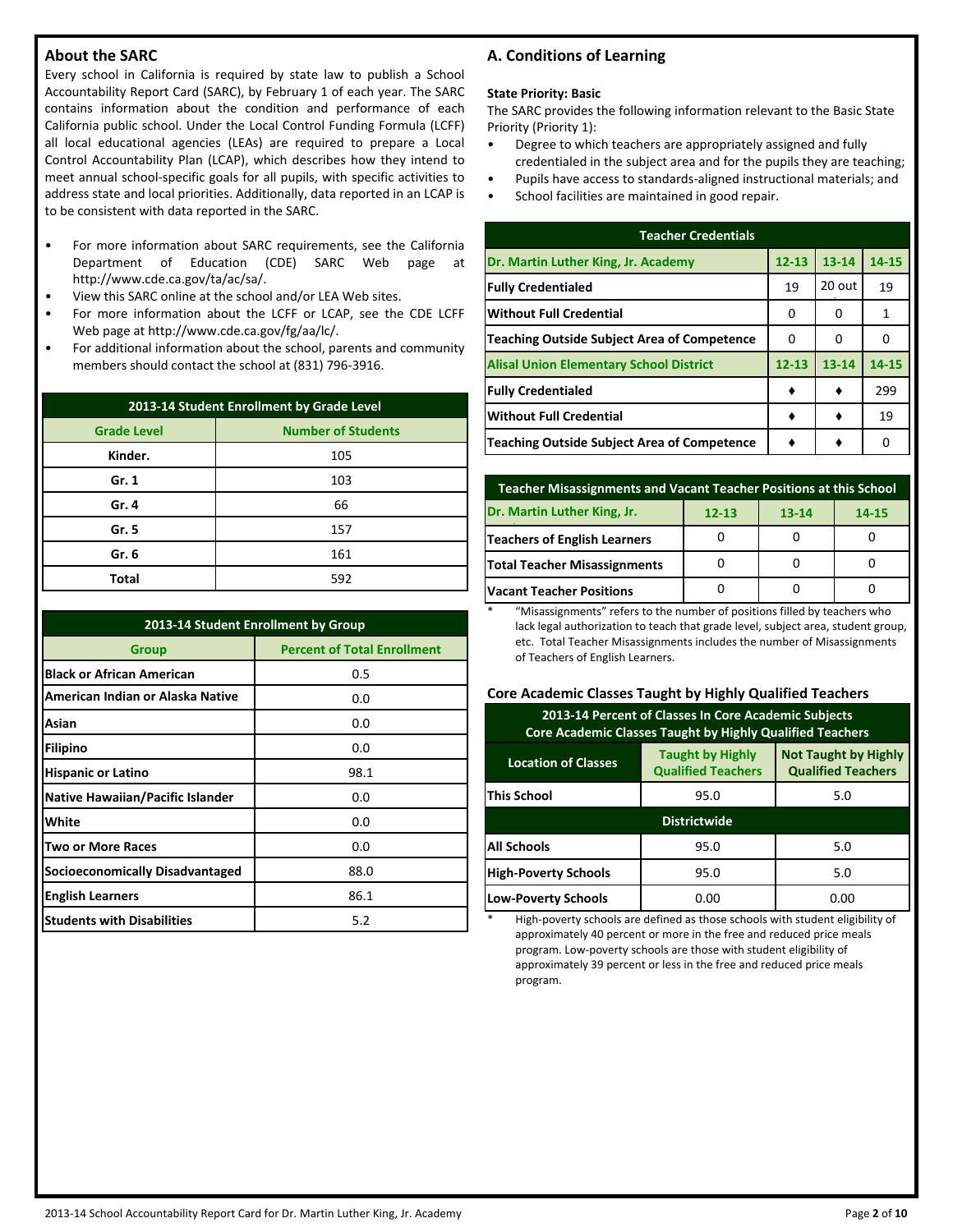# **About the SARC**

Every school in California is required by state law to publish a School Accountability Report Card (SARC), by February 1 of each year. The SARC contains information about the condition and performance of each California public school. Under the Local Control Funding Formula (LCFF) all local educational agencies (LEAs) are required to prepare a Local Control Accountability Plan (LCAP), which describes how they intend to meet annual school-specific goals for all pupils, with specific activities to address state and local priorities. Additionally, data reported in an LCAP is to be consistent with data reported in the SARC.

- For more information about SARC requirements, see the California Department of Education (CDE) SARC Web page at http://www.cde.ca.gov/ta/ac/sa/.
- View this SARC online at the school and/or LEA Web sites.
- For more information about the LCFF or LCAP, see the CDE LCFF Web page at http://www.cde.ca.gov/fg/aa/lc/.
- For additional information about the school, parents and community members should contact the school at (831) 796-3916.

| 2013-14 Student Enrollment by Grade Level       |     |  |  |  |  |
|-------------------------------------------------|-----|--|--|--|--|
| <b>Number of Students</b><br><b>Grade Level</b> |     |  |  |  |  |
| Kinder.                                         | 105 |  |  |  |  |
| Gr. 1                                           | 103 |  |  |  |  |
| Gr. 4                                           | 66  |  |  |  |  |
| Gr. 5                                           | 157 |  |  |  |  |
| Gr. 6                                           | 161 |  |  |  |  |
| Total                                           | 592 |  |  |  |  |

| 2013-14 Student Enrollment by Group                |      |  |  |  |  |  |
|----------------------------------------------------|------|--|--|--|--|--|
| <b>Percent of Total Enrollment</b><br><b>Group</b> |      |  |  |  |  |  |
| <b>Black or African American</b>                   | 0.5  |  |  |  |  |  |
| American Indian or Alaska Native                   | 0.0  |  |  |  |  |  |
| Asian                                              | 0.0  |  |  |  |  |  |
| <b>Filipino</b>                                    | 0.0  |  |  |  |  |  |
| <b>Hispanic or Latino</b>                          | 98.1 |  |  |  |  |  |
| <b>Native Hawaiian/Pacific Islander</b>            | 0.0  |  |  |  |  |  |
| White                                              | 0.0  |  |  |  |  |  |
| Two or More Races                                  | 0.0  |  |  |  |  |  |
| <b>Socioeconomically Disadvantaged</b>             | 88.0 |  |  |  |  |  |
| <b>English Learners</b>                            | 86.1 |  |  |  |  |  |
| <b>Students with Disabilities</b>                  | 5.2  |  |  |  |  |  |

# **A. Conditions of Learning**

#### **State Priority: Basic**

The SARC provides the following information relevant to the Basic State Priority (Priority 1):

- Degree to which teachers are appropriately assigned and fully credentialed in the subject area and for the pupils they are teaching;
- Pupils have access to standards-aligned instructional materials; and
- School facilities are maintained in good repair.

| <b>Teacher Credentials</b>                         |           |           |       |  |  |  |  |
|----------------------------------------------------|-----------|-----------|-------|--|--|--|--|
| Dr. Martin Luther King, Jr. Academy                | $12 - 13$ | $13 - 14$ | 14-15 |  |  |  |  |
| <b>Fully Credentialed</b>                          | 19        | 20 out    | 19    |  |  |  |  |
| lWithout Full Credential                           | O         | n         | 1     |  |  |  |  |
| <b>Teaching Outside Subject Area of Competence</b> | 0         | 0         | O     |  |  |  |  |
| <b>Alisal Union Elementary School District</b>     | $12 - 13$ | $13 - 14$ | 14-15 |  |  |  |  |
| <b>Fully Credentialed</b>                          |           |           | 299   |  |  |  |  |
| <b>Without Full Credential</b>                     |           |           | 19    |  |  |  |  |
| Teaching Outside Subject Area of Competence        |           |           | n     |  |  |  |  |

| Teacher Misassignments and Vacant Teacher Positions at this School |  |  |  |  |  |  |  |
|--------------------------------------------------------------------|--|--|--|--|--|--|--|
| Dr. Martin Luther King, Jr.<br>$12 - 13$<br>$13 - 14$<br>14-15     |  |  |  |  |  |  |  |
| Teachers of English Learners                                       |  |  |  |  |  |  |  |
| Total Teacher Misassignments                                       |  |  |  |  |  |  |  |
| <b>Vacant Teacher Positions</b>                                    |  |  |  |  |  |  |  |

\* "Misassignments" refers to the number of positions filled by teachers who lack legal authorization to teach that grade level, subject area, student group, etc. Total Teacher Misassignments includes the number of Misassignments of Teachers of English Learners.

#### **Core Academic Classes Taught by Highly Qualified Teachers**

| 2013-14 Percent of Classes In Core Academic Subjects<br>Core Academic Classes Taught by Highly Qualified Teachers                              |                     |      |  |  |  |  |  |
|------------------------------------------------------------------------------------------------------------------------------------------------|---------------------|------|--|--|--|--|--|
| <b>Not Taught by Highly</b><br><b>Taught by Highly</b><br><b>Location of Classes</b><br><b>Qualified Teachers</b><br><b>Qualified Teachers</b> |                     |      |  |  |  |  |  |
| lThis School<br>95.0<br>5.0                                                                                                                    |                     |      |  |  |  |  |  |
|                                                                                                                                                | <b>Districtwide</b> |      |  |  |  |  |  |
| <b>All Schools</b>                                                                                                                             | 95.0<br>5.0         |      |  |  |  |  |  |
| <b>High-Poverty Schools</b><br>5.0<br>95.0                                                                                                     |                     |      |  |  |  |  |  |
| <b>Low-Poverty Schools</b>                                                                                                                     | 0.00                | 0.00 |  |  |  |  |  |

High-poverty schools are defined as those schools with student eligibility of approximately 40 percent or more in the free and reduced price meals program. Low-poverty schools are those with student eligibility of approximately 39 percent or less in the free and reduced price meals program.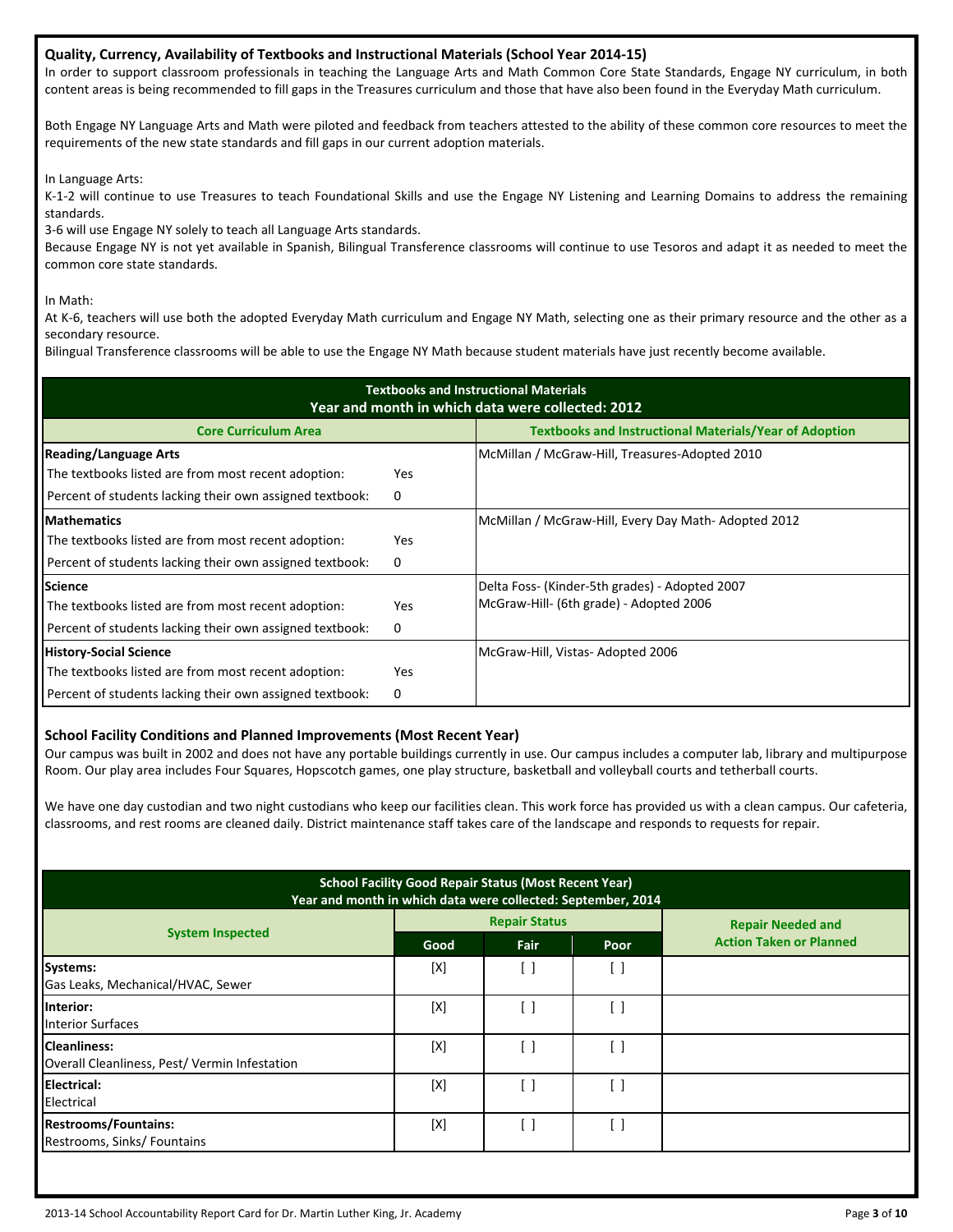#### **Quality, Currency, Availability of Textbooks and Instructional Materials (School Year 2014-15)**

In order to support classroom professionals in teaching the Language Arts and Math Common Core State Standards, Engage NY curriculum, in both content areas is being recommended to fill gaps in the Treasures curriculum and those that have also been found in the Everyday Math curriculum.

Both Engage NY Language Arts and Math were piloted and feedback from teachers attested to the ability of these common core resources to meet the requirements of the new state standards and fill gaps in our current adoption materials.

In Language Arts:

K-1-2 will continue to use Treasures to teach Foundational Skills and use the Engage NY Listening and Learning Domains to address the remaining standards.

3-6 will use Engage NY solely to teach all Language Arts standards.

Because Engage NY is not yet available in Spanish, Bilingual Transference classrooms will continue to use Tesoros and adapt it as needed to meet the common core state standards.

In Math:

At K-6, teachers will use both the adopted Everyday Math curriculum and Engage NY Math, selecting one as their primary resource and the other as a secondary resource.

Bilingual Transference classrooms will be able to use the Engage NY Math because student materials have just recently become available.

| <b>Textbooks and Instructional Materials</b><br>Year and month in which data were collected: 2012 |            |                                                               |  |  |  |  |  |
|---------------------------------------------------------------------------------------------------|------------|---------------------------------------------------------------|--|--|--|--|--|
| <b>Core Curriculum Area</b>                                                                       |            | <b>Textbooks and Instructional Materials/Year of Adoption</b> |  |  |  |  |  |
| <b>Reading/Language Arts</b>                                                                      |            | McMillan / McGraw-Hill, Treasures-Adopted 2010                |  |  |  |  |  |
| The textbooks listed are from most recent adoption:                                               | <b>Yes</b> |                                                               |  |  |  |  |  |
| Percent of students lacking their own assigned textbook:                                          | 0          |                                                               |  |  |  |  |  |
| <b>Mathematics</b>                                                                                |            | McMillan / McGraw-Hill, Every Day Math-Adopted 2012           |  |  |  |  |  |
| The textbooks listed are from most recent adoption:                                               | Yes        |                                                               |  |  |  |  |  |
| Percent of students lacking their own assigned textbook:                                          | 0          |                                                               |  |  |  |  |  |
| <b>Science</b>                                                                                    |            | Delta Foss- (Kinder-5th grades) - Adopted 2007                |  |  |  |  |  |
| The textbooks listed are from most recent adoption:                                               | Yes        | McGraw-Hill- (6th grade) - Adopted 2006                       |  |  |  |  |  |
| Percent of students lacking their own assigned textbook:                                          | 0          |                                                               |  |  |  |  |  |
| <b>History-Social Science</b>                                                                     |            | McGraw-Hill, Vistas- Adopted 2006                             |  |  |  |  |  |
| The textbooks listed are from most recent adoption:                                               | Yes.       |                                                               |  |  |  |  |  |
| Percent of students lacking their own assigned textbook:                                          | 0          |                                                               |  |  |  |  |  |

#### **School Facility Conditions and Planned Improvements (Most Recent Year)**

Our campus was built in 2002 and does not have any portable buildings currently in use. Our campus includes a computer lab, library and multipurpose Room. Our play area includes Four Squares, Hopscotch games, one play structure, basketball and volleyball courts and tetherball courts.

We have one day custodian and two night custodians who keep our facilities clean. This work force has provided us with a clean campus. Our cafeteria, classrooms, and rest rooms are cleaned daily. District maintenance staff takes care of the landscape and responds to requests for repair.

| <b>School Facility Good Repair Status (Most Recent Year)</b><br>Year and month in which data were collected: September, 2014 |      |                          |      |                                |  |  |
|------------------------------------------------------------------------------------------------------------------------------|------|--------------------------|------|--------------------------------|--|--|
|                                                                                                                              |      | <b>Repair Status</b>     |      | <b>Repair Needed and</b>       |  |  |
| <b>System Inspected</b>                                                                                                      | Good | Fair                     | Poor | <b>Action Taken or Planned</b> |  |  |
| Systems:<br>Gas Leaks, Mechanical/HVAC, Sewer                                                                                | [X]  | $\overline{\phantom{a}}$ | [ ]  |                                |  |  |
| Interior:<br><b>Interior Surfaces</b>                                                                                        | [X]  | - 1                      | ן ו  |                                |  |  |
| <b>Cleanliness:</b><br>Overall Cleanliness, Pest/Vermin Infestation                                                          | [X]  | - 1                      | i 1  |                                |  |  |
| <b>Electrical:</b><br>Electrical                                                                                             | [X]  | - 1                      | . 1  |                                |  |  |
| <b>Restrooms/Fountains:</b><br>Restrooms, Sinks/Fountains                                                                    | [X]  | - 1                      | ſ 1  |                                |  |  |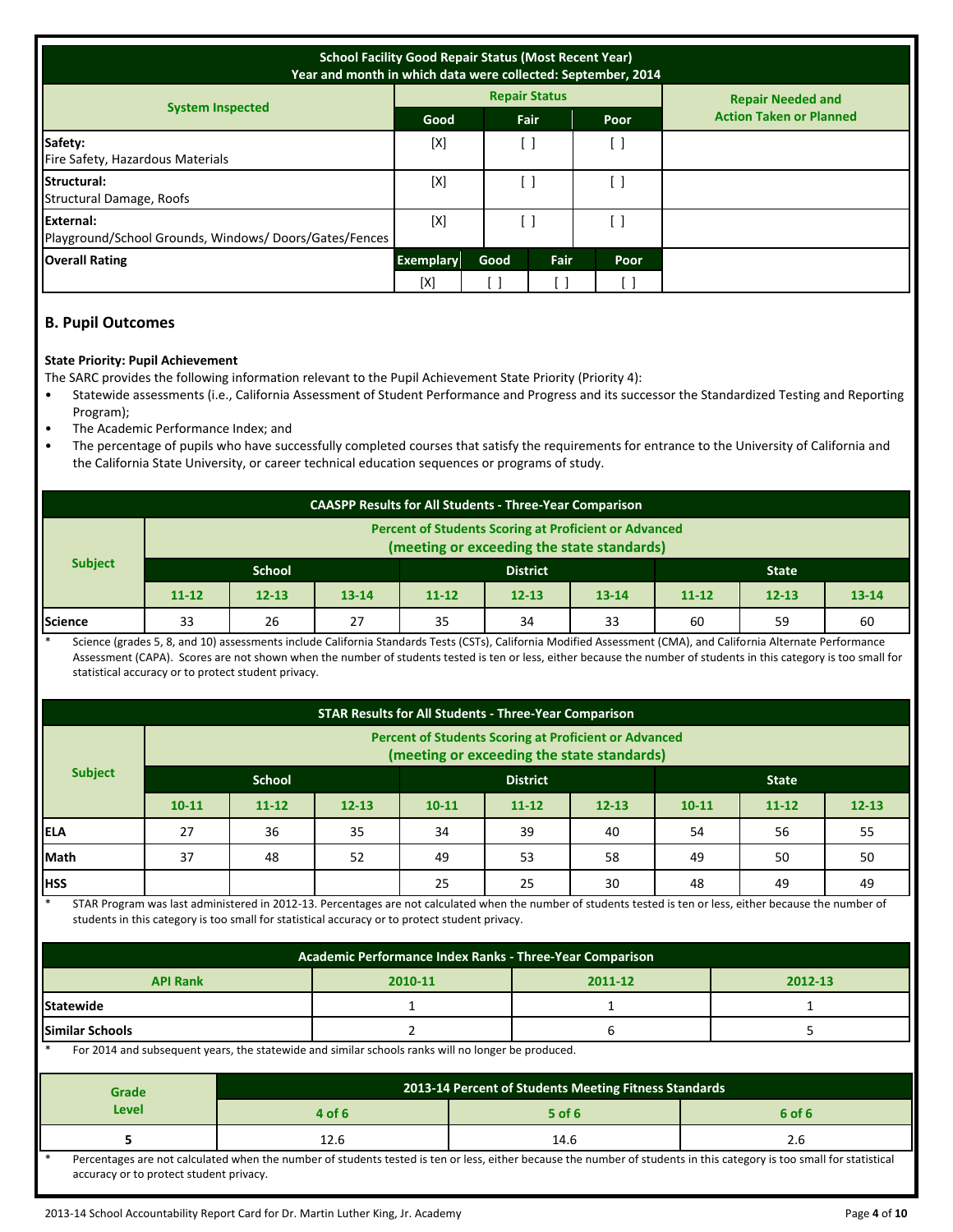| <b>School Facility Good Repair Status (Most Recent Year)</b><br>Year and month in which data were collected: September, 2014 |                  |      |                      |      |                                |
|------------------------------------------------------------------------------------------------------------------------------|------------------|------|----------------------|------|--------------------------------|
|                                                                                                                              |                  |      | <b>Repair Status</b> |      | <b>Repair Needed and</b>       |
| <b>System Inspected</b>                                                                                                      | Good             |      | Fair                 | Poor | <b>Action Taken or Planned</b> |
| Safety:<br>Fire Safety, Hazardous Materials                                                                                  | [X]              |      | [ ]                  | [ ]  |                                |
| Structural:<br>Structural Damage, Roofs                                                                                      | [X]              |      | . 1                  | [ ]  |                                |
| External:<br>Playground/School Grounds, Windows/Doors/Gates/Fences                                                           | [X]              |      | [ ]                  | ן ו  |                                |
| <b>Overall Rating</b>                                                                                                        | <b>Exemplary</b> | Good | Fair                 | Poor |                                |
|                                                                                                                              | [X]              |      |                      |      |                                |

## **B. Pupil Outcomes**

#### **State Priority: Pupil Achievement**

The SARC provides the following information relevant to the Pupil Achievement State Priority (Priority 4):

- Statewide assessments (i.e., California Assessment of Student Performance and Progress and its successor the Standardized Testing and Reporting Program);
- The Academic Performance Index; and
- The percentage of pupils who have successfully completed courses that satisfy the requirements for entrance to the University of California and the California State University, or career technical education sequences or programs of study.

| <b>CAASPP Results for All Students - Three-Year Comparison</b> |                                                                                                            |           |           |           |           |           |           |           |           |
|----------------------------------------------------------------|------------------------------------------------------------------------------------------------------------|-----------|-----------|-----------|-----------|-----------|-----------|-----------|-----------|
|                                                                | <b>Percent of Students Scoring at Proficient or Advanced</b><br>(meeting or exceeding the state standards) |           |           |           |           |           |           |           |           |
| <b>Subject</b>                                                 | <b>School</b><br><b>District</b><br><b>State</b>                                                           |           |           |           |           |           |           |           |           |
|                                                                | $11 - 12$                                                                                                  | $12 - 13$ | $13 - 14$ | $11 - 12$ | $12 - 13$ | $13 - 14$ | $11 - 12$ | $12 - 13$ | $13 - 14$ |
| Science                                                        | 33                                                                                                         | 26        | 27        | 35        | 34        | 33        | 60        | 59        | 60        |

Science (grades 5, 8, and 10) assessments include California Standards Tests (CSTs), California Modified Assessment (CMA), and California Alternate Performance Assessment (CAPA). Scores are not shown when the number of students tested is ten or less, either because the number of students in this category is too small for statistical accuracy or to protect student privacy.

| <b>STAR Results for All Students - Three-Year Comparison</b> |                                                                                                            |           |           |           |           |              |           |           |           |
|--------------------------------------------------------------|------------------------------------------------------------------------------------------------------------|-----------|-----------|-----------|-----------|--------------|-----------|-----------|-----------|
|                                                              | <b>Percent of Students Scoring at Proficient or Advanced</b><br>(meeting or exceeding the state standards) |           |           |           |           |              |           |           |           |
| <b>Subject</b>                                               | <b>School</b><br><b>District</b>                                                                           |           |           |           |           | <b>State</b> |           |           |           |
|                                                              | $10 - 11$                                                                                                  | $11 - 12$ | $12 - 13$ | $10 - 11$ | $11 - 12$ | $12 - 13$    | $10 - 11$ | $11 - 12$ | $12 - 13$ |
| <b>IELA</b>                                                  | 27                                                                                                         | 36        | 35        | 34        | 39        | 40           | 54        | 56        | 55        |
| Math                                                         | 37                                                                                                         | 48        | 52        | 49        | 53        | 58           | 49        | 50        | 50        |
| <b>HSS</b>                                                   |                                                                                                            |           |           | 25        | 25        | 30           | 48        | 49        | 49        |

STAR Program was last administered in 2012-13. Percentages are not calculated when the number of students tested is ten or less, either because the number of students in this category is too small for statistical accuracy or to protect student privacy.

| Academic Performance Index Ranks - Three-Year Comparison                                    |  |  |  |  |  |  |  |
|---------------------------------------------------------------------------------------------|--|--|--|--|--|--|--|
| <b>API Rank</b><br>2012-13<br>2010-11<br>2011-12                                            |  |  |  |  |  |  |  |
| <b>Statewide</b>                                                                            |  |  |  |  |  |  |  |
| <b>Similar Schools</b>                                                                      |  |  |  |  |  |  |  |
| For 2014 and whose users the state wide and similar schools realized line hanges he readuod |  |  |  |  |  |  |  |

For 2014 and subsequent years, the statewide and similar schools ranks will no longer be produced.

| <b>Grade</b>                                                                                                                                                         | 2013-14 Percent of Students Meeting Fitness Standards |          |        |  |  |  |
|----------------------------------------------------------------------------------------------------------------------------------------------------------------------|-------------------------------------------------------|----------|--------|--|--|--|
| Level                                                                                                                                                                | 4 of 6                                                | $5$ of 6 | 6 of 6 |  |  |  |
|                                                                                                                                                                      |                                                       | 14.6     |        |  |  |  |
| Dercentages are not calculated when the number of students tested is ten or less either because the number of students in this category is too small for statistical |                                                       |          |        |  |  |  |

<sup>:</sup> students tested is ten or less, either accuracy or to protect student privacy.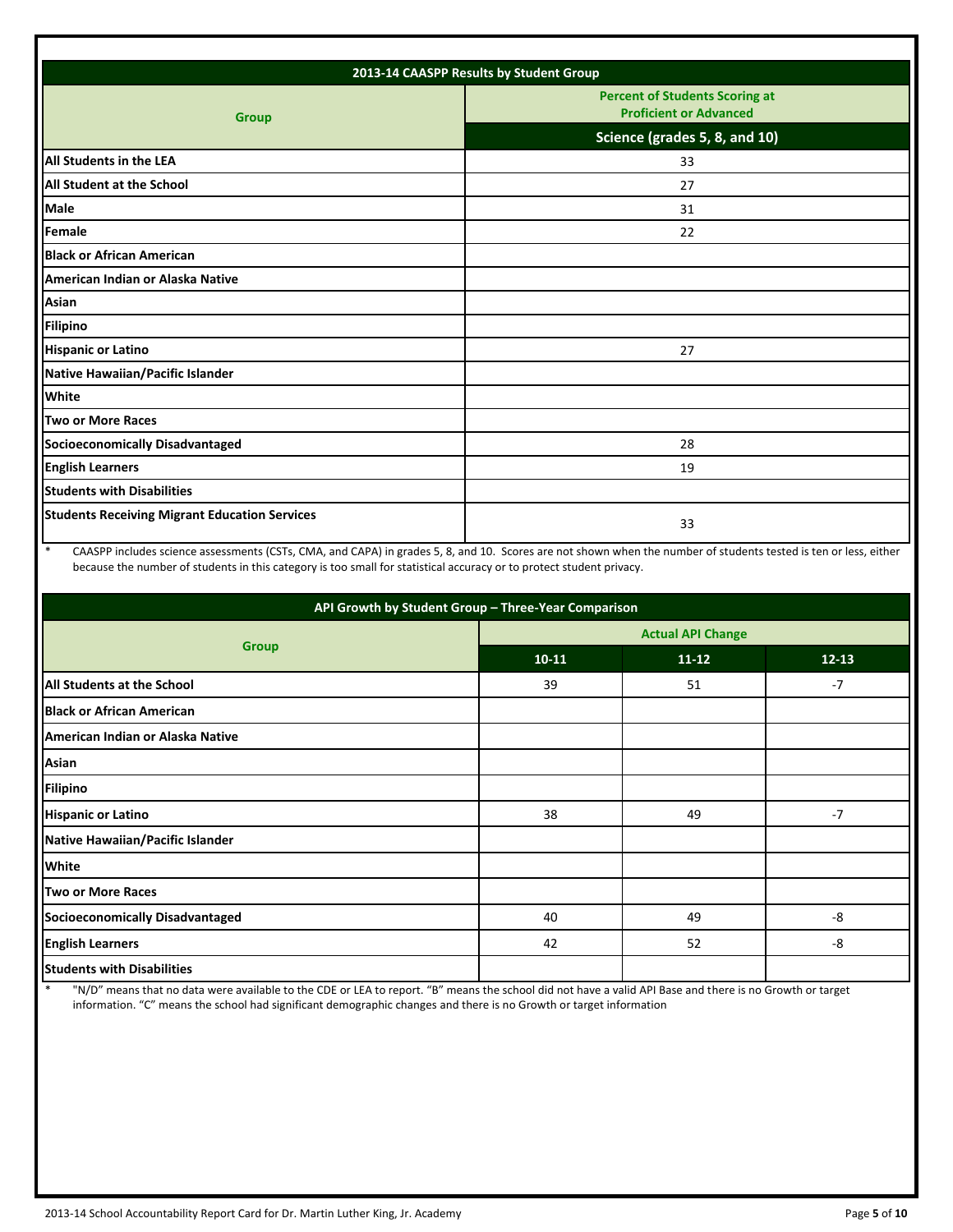| 2013-14 CAASPP Results by Student Group              |                                                                        |  |  |  |  |
|------------------------------------------------------|------------------------------------------------------------------------|--|--|--|--|
| <b>Group</b>                                         | <b>Percent of Students Scoring at</b><br><b>Proficient or Advanced</b> |  |  |  |  |
|                                                      | Science (grades 5, 8, and 10)                                          |  |  |  |  |
| <b>All Students in the LEA</b>                       | 33                                                                     |  |  |  |  |
| <b>All Student at the School</b>                     | 27                                                                     |  |  |  |  |
| <b>Male</b>                                          | 31                                                                     |  |  |  |  |
| Female                                               | 22                                                                     |  |  |  |  |
| <b>Black or African American</b>                     |                                                                        |  |  |  |  |
| American Indian or Alaska Native                     |                                                                        |  |  |  |  |
| Asian                                                |                                                                        |  |  |  |  |
| <b>Filipino</b>                                      |                                                                        |  |  |  |  |
| <b>Hispanic or Latino</b>                            | 27                                                                     |  |  |  |  |
| Native Hawaiian/Pacific Islander                     |                                                                        |  |  |  |  |
| White                                                |                                                                        |  |  |  |  |
| Two or More Races                                    |                                                                        |  |  |  |  |
| <b>Socioeconomically Disadvantaged</b>               | 28                                                                     |  |  |  |  |
| <b>English Learners</b>                              | 19                                                                     |  |  |  |  |
| <b>Students with Disabilities</b>                    |                                                                        |  |  |  |  |
| <b>Students Receiving Migrant Education Services</b> | 33                                                                     |  |  |  |  |

\* CAASPP includes science assessments (CSTs, CMA, and CAPA) in grades 5, 8, and 10. Scores are not shown when the number of students tested is ten or less, either because the number of students in this category is too small for statistical accuracy or to protect student privacy.

| API Growth by Student Group - Three-Year Comparison |                          |           |           |  |  |  |
|-----------------------------------------------------|--------------------------|-----------|-----------|--|--|--|
|                                                     | <b>Actual API Change</b> |           |           |  |  |  |
| <b>Group</b>                                        | $10 - 11$                | $11 - 12$ | $12 - 13$ |  |  |  |
| <b>All Students at the School</b>                   | 39                       | 51        | $-7$      |  |  |  |
| <b>Black or African American</b>                    |                          |           |           |  |  |  |
| American Indian or Alaska Native                    |                          |           |           |  |  |  |
| Asian                                               |                          |           |           |  |  |  |
| <b>Filipino</b>                                     |                          |           |           |  |  |  |
| <b>Hispanic or Latino</b>                           | 38                       | 49        | $-7$      |  |  |  |
| Native Hawaiian/Pacific Islander                    |                          |           |           |  |  |  |
| <b>White</b>                                        |                          |           |           |  |  |  |
| <b>Two or More Races</b>                            |                          |           |           |  |  |  |
| Socioeconomically Disadvantaged                     | 40                       | 49        | -8        |  |  |  |
| <b>English Learners</b>                             | 42                       | 52        | -8        |  |  |  |
| <b>Students with Disabilities</b>                   |                          |           |           |  |  |  |

\* "N/D" means that no data were available to the CDE or LEA to report. "B" means the school did not have a valid API Base and there is no Growth or target information. "C" means the school had significant demographic changes and there is no Growth or target information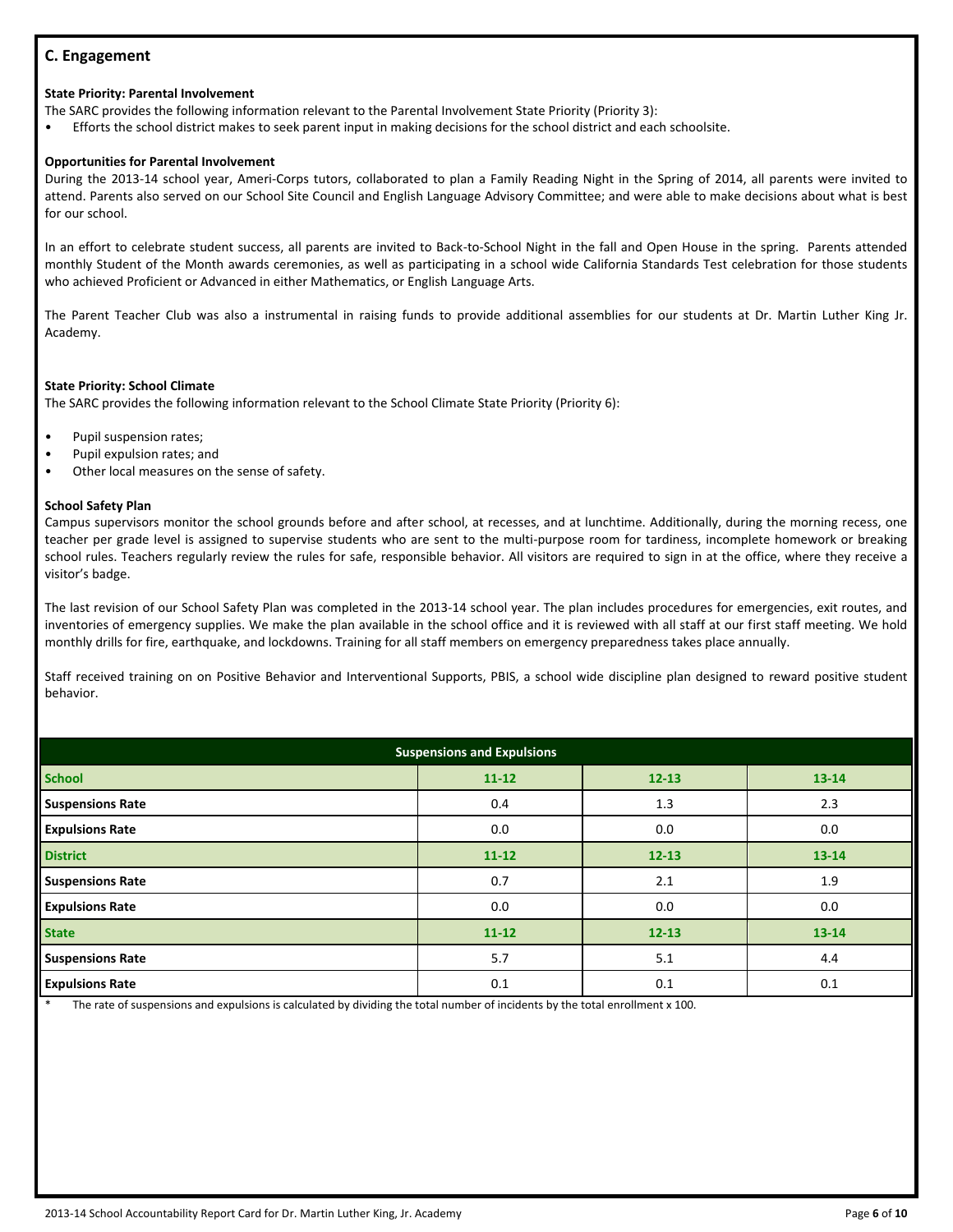# **C. Engagement**

## **State Priority: Parental Involvement**

The SARC provides the following information relevant to the Parental Involvement State Priority (Priority 3):

• Efforts the school district makes to seek parent input in making decisions for the school district and each schoolsite.

# **Opportunities for Parental Involvement**

During the 2013-14 school year, Ameri-Corps tutors, collaborated to plan a Family Reading Night in the Spring of 2014, all parents were invited to attend. Parents also served on our School Site Council and English Language Advisory Committee; and were able to make decisions about what is best for our school.

In an effort to celebrate student success, all parents are invited to Back-to-School Night in the fall and Open House in the spring. Parents attended monthly Student of the Month awards ceremonies, as well as participating in a school wide California Standards Test celebration for those students who achieved Proficient or Advanced in either Mathematics, or English Language Arts.

The Parent Teacher Club was also a instrumental in raising funds to provide additional assemblies for our students at Dr. Martin Luther King Jr. Academy.

#### **State Priority: School Climate**

The SARC provides the following information relevant to the School Climate State Priority (Priority 6):

- Pupil suspension rates;
- Pupil expulsion rates; and
- Other local measures on the sense of safety.

#### **School Safety Plan**

Campus supervisors monitor the school grounds before and after school, at recesses, and at lunchtime. Additionally, during the morning recess, one teacher per grade level is assigned to supervise students who are sent to the multi-purpose room for tardiness, incomplete homework or breaking school rules. Teachers regularly review the rules for safe, responsible behavior. All visitors are required to sign in at the office, where they receive a visitor's badge.

The last revision of our School Safety Plan was completed in the 2013-14 school year. The plan includes procedures for emergencies, exit routes, and inventories of emergency supplies. We make the plan available in the school office and it is reviewed with all staff at our first staff meeting. We hold monthly drills for fire, earthquake, and lockdowns. Training for all staff members on emergency preparedness takes place annually.

Staff received training on on Positive Behavior and Interventional Supports, PBIS, a school wide discipline plan designed to reward positive student behavior.

| <b>Suspensions and Expulsions</b> |                                     |           |           |  |  |  |  |
|-----------------------------------|-------------------------------------|-----------|-----------|--|--|--|--|
| <b>School</b>                     | $11 - 12$<br>$12 - 13$<br>$13 - 14$ |           |           |  |  |  |  |
| <b>Suspensions Rate</b>           | 0.4                                 | 1.3       | 2.3       |  |  |  |  |
| <b>Expulsions Rate</b>            | 0.0                                 | 0.0       | 0.0       |  |  |  |  |
| <b>District</b>                   | $11 - 12$                           | $12 - 13$ | $13 - 14$ |  |  |  |  |
| <b>Suspensions Rate</b>           | 0.7                                 | 2.1       | 1.9       |  |  |  |  |
| <b>Expulsions Rate</b>            | 0.0                                 | 0.0       | 0.0       |  |  |  |  |
| <b>State</b>                      | $11 - 12$                           | $12 - 13$ | 13-14     |  |  |  |  |
| <b>Suspensions Rate</b>           | 5.7                                 | 5.1       | 4.4       |  |  |  |  |
| <b>Expulsions Rate</b>            | 0.1                                 | 0.1       | 0.1       |  |  |  |  |

The rate of suspensions and expulsions is calculated by dividing the total number of incidents by the total enrollment x 100.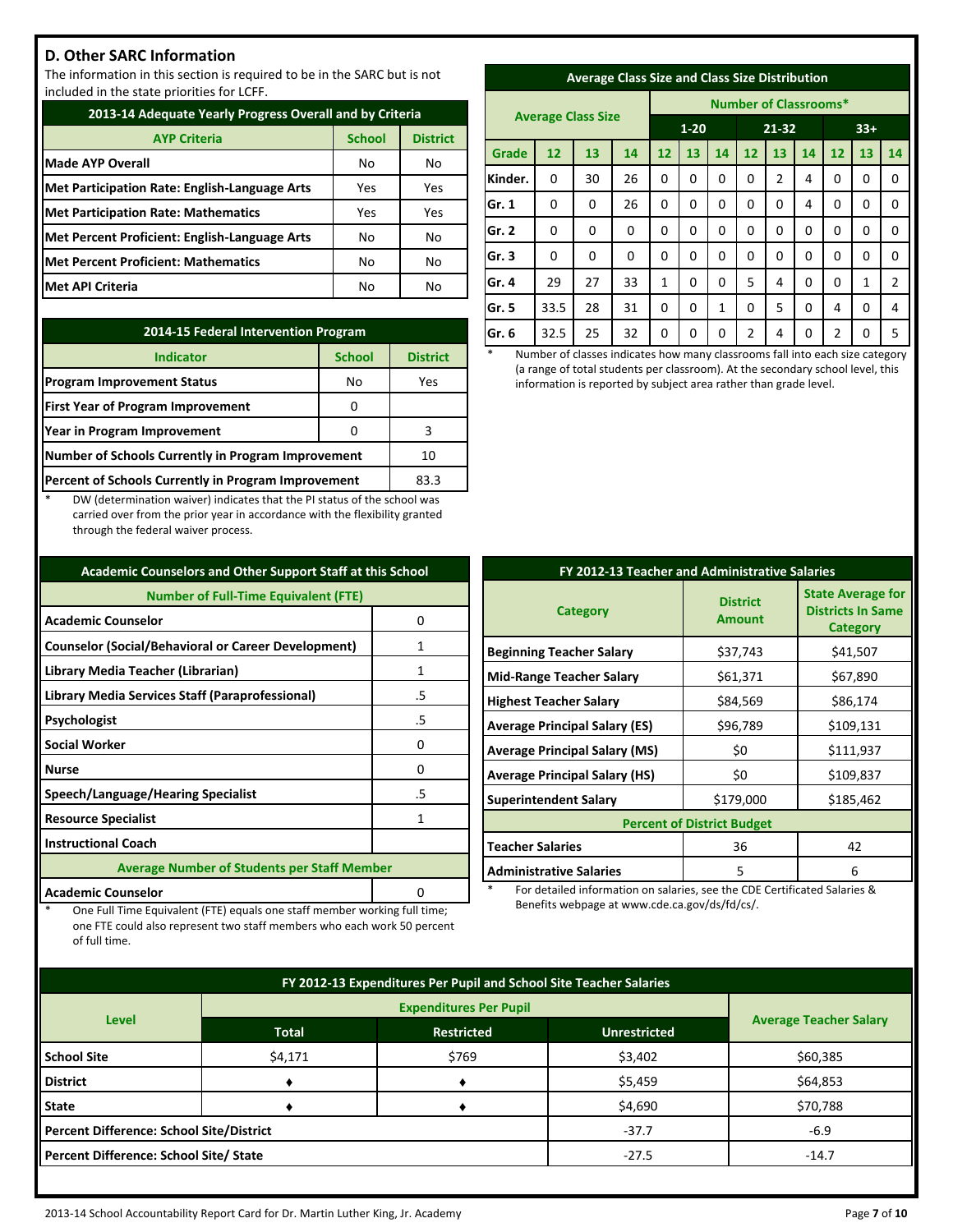# **D. Other SARC Information**

The information in this section is required to be in the SARC but is not included in the state priorities for LCFF.

| 2013-14 Adequate Yearly Progress Overall and by Criteria |     |     |  |  |  |  |  |
|----------------------------------------------------------|-----|-----|--|--|--|--|--|
| <b>School</b><br><b>AYP Criteria</b><br><b>District</b>  |     |     |  |  |  |  |  |
| <b>Made AYP Overall</b>                                  | No  | No  |  |  |  |  |  |
| Met Participation Rate: English-Language Arts            | Yes | Yes |  |  |  |  |  |
| <b>Met Participation Rate: Mathematics</b>               | Yes | Yes |  |  |  |  |  |
| Met Percent Proficient: English-Language Arts            | No  | No  |  |  |  |  |  |
| Met Percent Proficient: Mathematics                      | No  | No  |  |  |  |  |  |
| <b>Met API Criteria</b>                                  | No  | No  |  |  |  |  |  |

| 2014-15 Federal Intervention Program                |                 |     |  |  |  |
|-----------------------------------------------------|-----------------|-----|--|--|--|
| <b>Indicator</b>                                    | <b>District</b> |     |  |  |  |
| <b>Program Improvement Status</b>                   | No              | Yes |  |  |  |
| <b>First Year of Program Improvement</b>            |                 |     |  |  |  |
| Year in Program Improvement                         |                 | 3   |  |  |  |
| Number of Schools Currently in Program Improvement  | 10              |     |  |  |  |
| Percent of Schools Currently in Program Improvement | 83.3            |     |  |  |  |

DW (determination waiver) indicates that the PI status of the school was carried over from the prior year in accordance with the flexibility granted through the federal waiver process.

| <b>Academic Counselors and Other Support Staff at this School</b> |                                                    |  |  |  |  |
|-------------------------------------------------------------------|----------------------------------------------------|--|--|--|--|
| <b>Number of Full-Time Equivalent (FTE)</b>                       |                                                    |  |  |  |  |
| <b>Academic Counselor</b>                                         | 0                                                  |  |  |  |  |
| <b>Counselor (Social/Behavioral or Career Development)</b>        | 1                                                  |  |  |  |  |
| Library Media Teacher (Librarian)                                 | 1                                                  |  |  |  |  |
| Library Media Services Staff (Paraprofessional)                   | .5                                                 |  |  |  |  |
| Psychologist                                                      | .5                                                 |  |  |  |  |
| <b>Social Worker</b>                                              | 0                                                  |  |  |  |  |
| <b>Nurse</b>                                                      | ŋ                                                  |  |  |  |  |
| Speech/Language/Hearing Specialist                                | .5                                                 |  |  |  |  |
| <b>Resource Specialist</b>                                        | 1                                                  |  |  |  |  |
| <b>Instructional Coach</b>                                        |                                                    |  |  |  |  |
|                                                                   | <b>Average Number of Students per Staff Member</b> |  |  |  |  |
| <b>Academic Counselor</b>                                         |                                                    |  |  |  |  |

One Full Time Equivalent (FTE) equals one staff member working full time; one FTE could also represent two staff members who each work 50 percent

of full time.

| <b>Average Class Size and Class Size Distribution</b> |  |  |
|-------------------------------------------------------|--|--|
|                                                       |  |  |

|         | <b>Average Class Size</b> |          |             |          |          | <b>Number of Classrooms*</b> |          |    |          |       |          |                |
|---------|---------------------------|----------|-------------|----------|----------|------------------------------|----------|----|----------|-------|----------|----------------|
|         |                           |          |             | $1 - 20$ |          |                              | 21-32    |    |          | $33+$ |          |                |
| Grade   | 12                        | 13       | 14          | 12       | 13       | 14                           | 12       | 13 | 14       | 12    | 13       | 14             |
| Kinder. | 0                         | 30       | 26          | 0        | $\Omega$ | 0                            | 0        | 2  | 4        | 0     | 0        | 0              |
| Gr. 1   | 0                         | 0        | 26          | 0        | $\Omega$ | 0                            | 0        | 0  | 4        | 0     | 0        | 0              |
| Gr. 2   | $\Omega$                  | $\Omega$ | 0           | 0        | $\Omega$ | 0                            | 0        | 0  | 0        | 0     | 0        | 0              |
| Gr.3    | $\Omega$                  | 0        | $\mathbf 0$ | 0        | 0        | 0                            | 0        | 0  | 0        | 0     | 0        | 0              |
| Gr. 4   | 29                        | 27       | 33          | 1        | $\Omega$ | 0                            | 5        | 4  | $\Omega$ | 0     | 1        | $\overline{2}$ |
| Gr. 5   | 33.5                      | 28       | 31          | 0        | $\Omega$ | 1                            | $\Omega$ | 5  | $\Omega$ | 4     | $\Omega$ | 4              |
| Gr. 6   | 32.5                      | 25       | 32          | 0        | 0        | 0                            | 2        | 4  | 0        | 2     | 0        | 5              |

Number of classes indicates how many classrooms fall into each size category (a range of total students per classroom). At the secondary school level, this information is reported by subject area rather than grade level.

| FY 2012-13 Teacher and Administrative Salaries |                                   |                                                                         |  |  |  |  |
|------------------------------------------------|-----------------------------------|-------------------------------------------------------------------------|--|--|--|--|
| <b>Category</b>                                | <b>District</b><br><b>Amount</b>  | <b>State Average for</b><br><b>Districts In Same</b><br><b>Category</b> |  |  |  |  |
| <b>Beginning Teacher Salary</b>                | \$37,743                          | \$41,507                                                                |  |  |  |  |
| <b>Mid-Range Teacher Salary</b>                | \$61,371                          | \$67,890                                                                |  |  |  |  |
| <b>Highest Teacher Salary</b>                  | \$84,569                          | \$86,174                                                                |  |  |  |  |
| <b>Average Principal Salary (ES)</b>           | \$96,789                          | \$109,131                                                               |  |  |  |  |
| <b>Average Principal Salary (MS)</b>           | \$0                               | \$111,937                                                               |  |  |  |  |
| <b>Average Principal Salary (HS)</b>           | \$0                               | \$109,837                                                               |  |  |  |  |
| <b>Superintendent Salary</b>                   | \$179,000                         | \$185,462                                                               |  |  |  |  |
|                                                | <b>Percent of District Budget</b> |                                                                         |  |  |  |  |
| <b>Teacher Salaries</b>                        | 36                                | 42                                                                      |  |  |  |  |
| <b>Administrative Salaries</b>                 | 5                                 | 6                                                                       |  |  |  |  |

For detailed information on salaries, see the CDE Certificated Salaries & Benefits webpage at www.cde.ca.gov/ds/fd/cs/.

| FY 2012-13 Expenditures Per Pupil and School Site Teacher Salaries |              |                   |                     |                               |          |  |
|--------------------------------------------------------------------|--------------|-------------------|---------------------|-------------------------------|----------|--|
|                                                                    |              |                   |                     |                               |          |  |
| <b>Level</b>                                                       | <b>Total</b> | <b>Restricted</b> | <b>Unrestricted</b> | <b>Average Teacher Salary</b> |          |  |
| <b>School Site</b>                                                 | \$4,171      | \$769             | \$3,402             | \$60,385                      |          |  |
| <b>District</b>                                                    |              |                   | \$5,459             | \$64,853                      |          |  |
| <b>State</b>                                                       |              |                   | \$4,690             |                               | \$70,788 |  |
| <b>Percent Difference: School Site/District</b>                    |              |                   | $-37.7$             | $-6.9$                        |          |  |
| Percent Difference: School Site/ State                             | $-14.7$      |                   |                     |                               |          |  |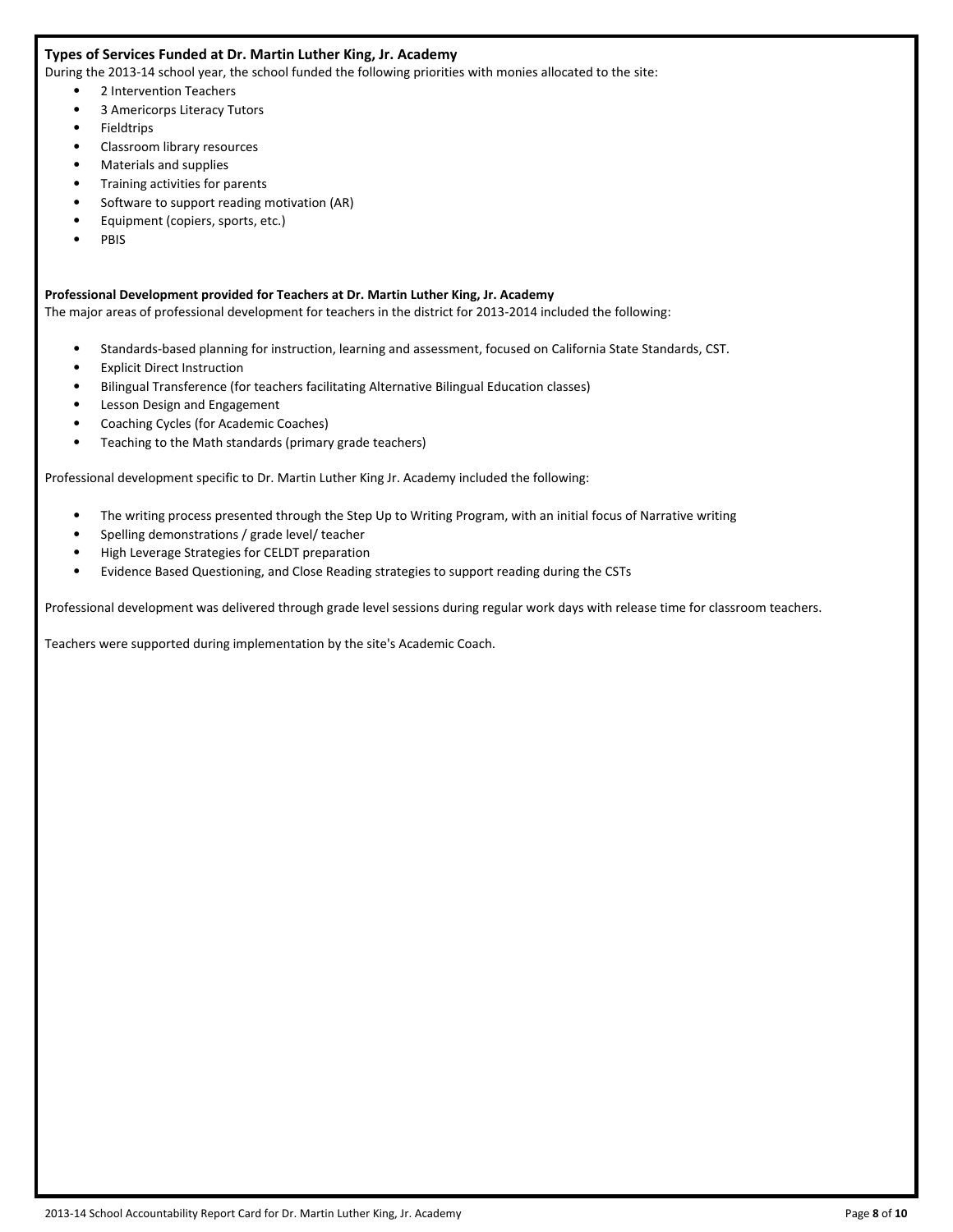#### **Types of Services Funded at Dr. Martin Luther King, Jr. Academy**

During the 2013-14 school year, the school funded the following priorities with monies allocated to the site:

- 2 Intervention Teachers
- 3 Americorps Literacy Tutors
- Fieldtrips
- Classroom library resources
- Materials and supplies
- Training activities for parents
- Software to support reading motivation (AR)
- Equipment (copiers, sports, etc.)
- PBIS

#### **Professional Development provided for Teachers at Dr. Martin Luther King, Jr. Academy**

The major areas of professional development for teachers in the district for 2013-2014 included the following:

- Standards-based planning for instruction, learning and assessment, focused on California State Standards, CST.
- Explicit Direct Instruction
- Bilingual Transference (for teachers facilitating Alternative Bilingual Education classes)
- Lesson Design and Engagement
- Coaching Cycles (for Academic Coaches)
- Teaching to the Math standards (primary grade teachers)

Professional development specific to Dr. Martin Luther King Jr. Academy included the following:

- The writing process presented through the Step Up to Writing Program, with an initial focus of Narrative writing
- Spelling demonstrations / grade level/ teacher
- High Leverage Strategies for CELDT preparation
- Evidence Based Questioning, and Close Reading strategies to support reading during the CSTs

Professional development was delivered through grade level sessions during regular work days with release time for classroom teachers.

Teachers were supported during implementation by the site's Academic Coach.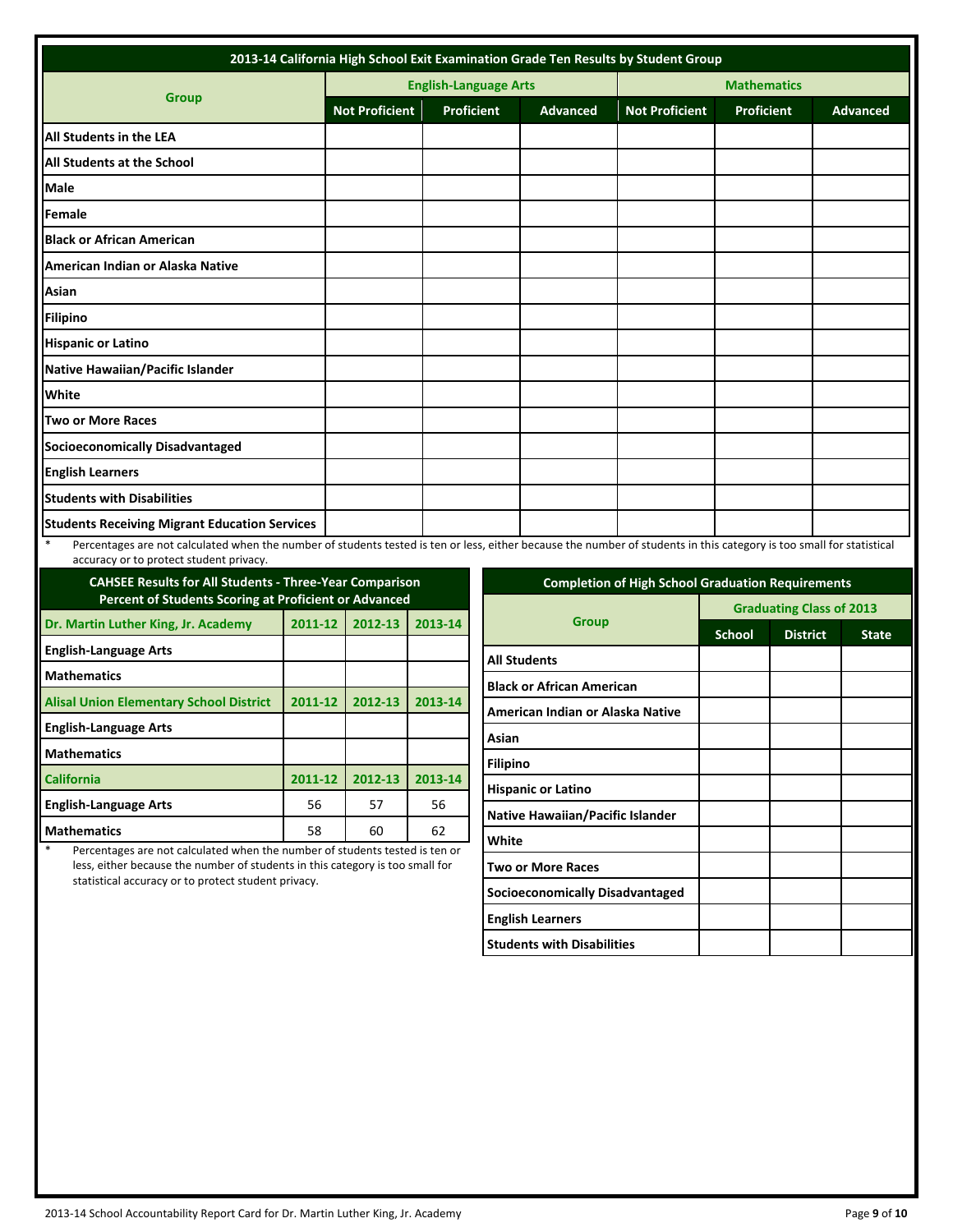| 2013-14 California High School Exit Examination Grade Ten Results by Student Group                                                                                              |                       |                              |                 |                       |            |                 |  |
|---------------------------------------------------------------------------------------------------------------------------------------------------------------------------------|-----------------------|------------------------------|-----------------|-----------------------|------------|-----------------|--|
|                                                                                                                                                                                 |                       | <b>English-Language Arts</b> |                 | <b>Mathematics</b>    |            |                 |  |
| <b>Group</b>                                                                                                                                                                    | <b>Not Proficient</b> | <b>Proficient</b>            | <b>Advanced</b> | <b>Not Proficient</b> | Proficient | <b>Advanced</b> |  |
| <b>All Students in the LEA</b>                                                                                                                                                  |                       |                              |                 |                       |            |                 |  |
| <b>All Students at the School</b>                                                                                                                                               |                       |                              |                 |                       |            |                 |  |
| Male                                                                                                                                                                            |                       |                              |                 |                       |            |                 |  |
| Female                                                                                                                                                                          |                       |                              |                 |                       |            |                 |  |
| <b>Black or African American</b>                                                                                                                                                |                       |                              |                 |                       |            |                 |  |
| American Indian or Alaska Native                                                                                                                                                |                       |                              |                 |                       |            |                 |  |
| Asian                                                                                                                                                                           |                       |                              |                 |                       |            |                 |  |
| <b>Filipino</b>                                                                                                                                                                 |                       |                              |                 |                       |            |                 |  |
| <b>Hispanic or Latino</b>                                                                                                                                                       |                       |                              |                 |                       |            |                 |  |
| Native Hawaiian/Pacific Islander                                                                                                                                                |                       |                              |                 |                       |            |                 |  |
| White                                                                                                                                                                           |                       |                              |                 |                       |            |                 |  |
| Two or More Races                                                                                                                                                               |                       |                              |                 |                       |            |                 |  |
| <b>Socioeconomically Disadvantaged</b>                                                                                                                                          |                       |                              |                 |                       |            |                 |  |
| <b>English Learners</b>                                                                                                                                                         |                       |                              |                 |                       |            |                 |  |
| <b>Students with Disabilities</b>                                                                                                                                               |                       |                              |                 |                       |            |                 |  |
| <b>Students Receiving Migrant Education Services</b>                                                                                                                            |                       |                              |                 |                       |            |                 |  |
| $\ast$<br>Percentages are not calculated when the number of students tested is ten or less, either because the number of students in this category is too small for statistical |                       |                              |                 |                       |            |                 |  |

accuracy or to protect student privacy.

| <b>CAHSEE Results for All Students - Three-Year Comparison</b><br><b>Percent of Students Scoring at Proficient or Advanced</b> |         |         |         |  |  |  |
|--------------------------------------------------------------------------------------------------------------------------------|---------|---------|---------|--|--|--|
| Dr. Martin Luther King, Jr. Academy                                                                                            | 2011-12 | 2012-13 | 2013-14 |  |  |  |
| <b>English-Language Arts</b>                                                                                                   |         |         |         |  |  |  |
| <b>Mathematics</b>                                                                                                             |         |         |         |  |  |  |
| <b>Alisal Union Elementary School District</b>                                                                                 | 2011-12 | 2012-13 | 2013-14 |  |  |  |
| <b>English-Language Arts</b>                                                                                                   |         |         |         |  |  |  |
| <b>Mathematics</b>                                                                                                             |         |         |         |  |  |  |
| <b>California</b>                                                                                                              | 2011-12 | 2012-13 | 2013-14 |  |  |  |
| <b>English-Language Arts</b>                                                                                                   | 56      | 57      | 56      |  |  |  |
| <b>Mathematics</b>                                                                                                             | 58      | 60      | 62      |  |  |  |

Percentages are not calculated when the number of students tested is ten or less, either because the number of students in this category is too small for statistical accuracy or to protect student privacy.

| <b>Completion of High School Graduation Requirements</b> |                                 |                 |              |
|----------------------------------------------------------|---------------------------------|-----------------|--------------|
| <b>Group</b>                                             | <b>Graduating Class of 2013</b> |                 |              |
|                                                          | <b>School</b>                   | <b>District</b> | <b>State</b> |
| <b>All Students</b>                                      |                                 |                 |              |
| <b>Black or African American</b>                         |                                 |                 |              |
| American Indian or Alaska Native                         |                                 |                 |              |
| Asian                                                    |                                 |                 |              |
| Filipino                                                 |                                 |                 |              |
| <b>Hispanic or Latino</b>                                |                                 |                 |              |
| Native Hawaiian/Pacific Islander                         |                                 |                 |              |
| White                                                    |                                 |                 |              |
| Two or More Races                                        |                                 |                 |              |
| <b>Socioeconomically Disadvantaged</b>                   |                                 |                 |              |
| <b>English Learners</b>                                  |                                 |                 |              |
| <b>Students with Disabilities</b>                        |                                 |                 |              |